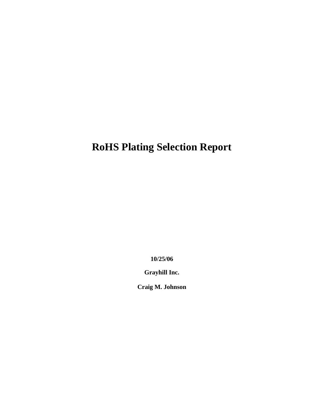# **RoHS Plating Selection Report**

**10/25/06**

**Grayhill Inc.**

**Craig M. Johnson**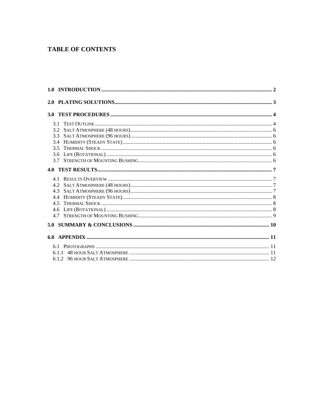#### **TABLE OF CONTENTS**

| 3.5 |  |
|-----|--|
|     |  |
|     |  |
| 4.0 |  |
|     |  |
|     |  |
|     |  |
|     |  |
|     |  |
|     |  |
|     |  |
| 5.0 |  |
| 6.0 |  |
|     |  |
|     |  |
|     |  |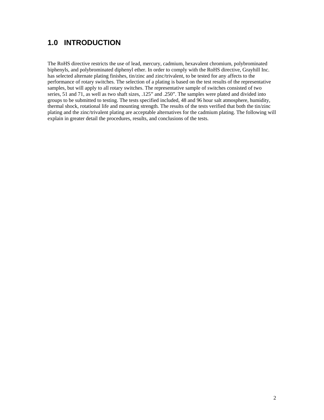### **1.0 INTRODUCTION**

The RoHS directive restricts the use of lead, mercury, cadmium, hexavalent chromium, polybrominated biphenyls, and polybrominated diphenyl ether. In order to comply with the RoHS directive, Grayhill Inc. has selected alternate plating finishes, tin/zinc and zinc/trivalent, to be tested for any affects to the performance of rotary switches. The selection of a plating is based on the test results of the representative samples, but will apply to all rotary switches. The representative sample of switches consisted of two series, 51 and 71, as well as two shaft sizes, .125" and .250". The samples were plated and divided into groups to be submitted to testing. The tests specified included, 48 and 96 hour salt atmosphere, humidity, thermal shock, rotational life and mounting strength. The results of the tests verified that both the tin/zinc plating and the zinc/trivalent plating are acceptable alternatives for the cadmium plating. The following will explain in greater detail the procedures, results, and conclusions of the tests.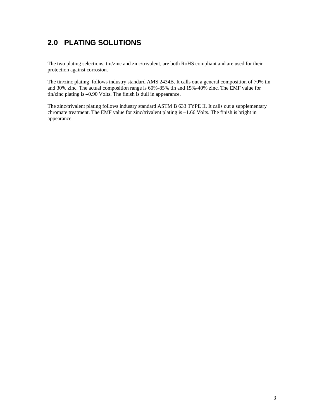## **2.0 PLATING SOLUTIONS**

The two plating selections, tin/zinc and zinc/trivalent, are both RoHS compliant and are used for their protection against corrosion.

The tin/zinc plating follows industry standard AMS 2434B. It calls out a general composition of 70% tin and 30% zinc. The actual composition range is 60%-85% tin and 15%-40% zinc. The EMF value for tin/zinc plating is –0.90 Volts. The finish is dull in appearance.

The zinc/trivalent plating follows industry standard ASTM B 633 TYPE II. It calls out a supplementary chromate treatment. The EMF value for zinc/trivalent plating is –1.66 Volts. The finish is bright in appearance.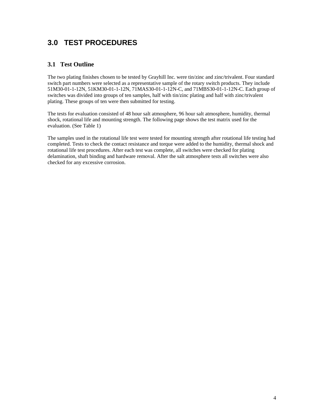### **3.0 TEST PROCEDURES**

#### **3.1 Test Outline**

The two plating finishes chosen to be tested by Grayhill Inc. were tin/zinc and zinc/trivalent. Four standard switch part numbers were selected as a representative sample of the rotary switch products. They include 51M30-01-1-12N, 51KM30-01-1-12N, 71MAS30-01-1-12N-C, and 71MBS30-01-1-12N-C. Each group of switches was divided into groups of ten samples, half with tin/zinc plating and half with zinc/trivalent plating. These groups of ten were then submitted for testing.

The tests for evaluation consisted of 48 hour salt atmosphere, 96 hour salt atmosphere, humidity, thermal shock, rotational life and mounting strength. The following page shows the test matrix used for the evaluation. (See Table 1)

The samples used in the rotational life test were tested for mounting strength after rotational life testing had completed. Tests to check the contact resistance and torque were added to the humidity, thermal shock and rotational life test procedures. After each test was complete, all switches were checked for plating delamination, shaft binding and hardware removal. After the salt atmosphere tests all switches were also checked for any excessive corrosion.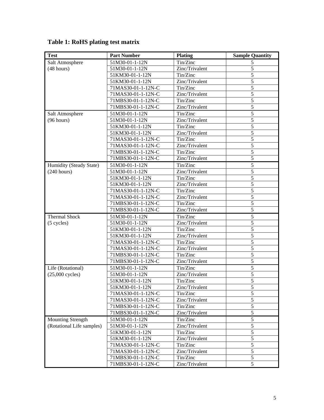| <b>Test</b>               | <b>Part Number</b> | <b>Plating</b> | <b>Sample Quantity</b> |
|---------------------------|--------------------|----------------|------------------------|
| Salt Atmosphere           | 51M30-01-1-12N     | Tin/Zinc       | 5                      |
| (48 hours)                | 51M30-01-1-12N     | Zinc/Trivalent | 5                      |
|                           | 51KM30-01-1-12N    | Tin/Zinc       | 5                      |
|                           | 51KM30-01-1-12N    | Zinc/Trivalent | 5                      |
|                           | 71MAS30-01-1-12N-C | Tin/Zinc       | 5                      |
|                           | 71MAS30-01-1-12N-C | Zinc/Trivalent | 5                      |
|                           | 71MBS30-01-1-12N-C | Tin/Zinc       | 5                      |
|                           | 71MBS30-01-1-12N-C | Zinc/Trivalent | 5                      |
| Salt Atmosphere           | 51M30-01-1-12N     | Tin/Zinc       | 5                      |
| (96 hours)                | 51M30-01-1-12N     | Zinc/Trivalent | 5                      |
|                           | 51KM30-01-1-12N    | Tin/Zinc       | 5                      |
|                           | 51KM30-01-1-12N    | Zinc/Trivalent | 5                      |
|                           | 71MAS30-01-1-12N-C | Tin/Zinc       | 5                      |
|                           | 71MAS30-01-1-12N-C | Zinc/Trivalent | 5                      |
|                           | 71MBS30-01-1-12N-C | Tin/Zinc       | 5                      |
|                           | 71MBS30-01-1-12N-C | Zinc/Trivalent | 5                      |
| Humidity (Steady State)   | 51M30-01-1-12N     | Tin/Zinc       | 5                      |
| (240 hours)               | 51M30-01-1-12N     | Zinc/Trivalent | $\overline{5}$         |
|                           | 51KM30-01-1-12N    | Tin/Zinc       | $\overline{5}$         |
|                           | 51KM30-01-1-12N    | Zinc/Trivalent | $\overline{5}$         |
|                           | 71MAS30-01-1-12N-C | Tin/Zinc       | $\overline{5}$         |
|                           | 71MAS30-01-1-12N-C | Zinc/Trivalent | 5                      |
|                           | 71MBS30-01-1-12N-C | Tin/Zinc       | $\overline{5}$         |
|                           | 71MBS30-01-1-12N-C | Zinc/Trivalent | $\overline{5}$         |
| <b>Thermal Shock</b>      | 51M30-01-1-12N     | Tin/Zinc       | 5                      |
| $(5$ cycles)              | 51M30-01-1-12N     | Zinc/Trivalent | 5                      |
|                           | 51KM30-01-1-12N    | Tin/Zinc       | 5                      |
|                           | 51KM30-01-1-12N    | Zinc/Trivalent | 5                      |
|                           | 71MAS30-01-1-12N-C | Tin/Zinc       | 5                      |
|                           | 71MAS30-01-1-12N-C | Zinc/Trivalent | $\overline{5}$         |
|                           | 71MBS30-01-1-12N-C | Tin/Zinc       | 5                      |
|                           | 71MBS30-01-1-12N-C | Zinc/Trivalent | 5                      |
| Life (Rotational)         | 51M30-01-1-12N     | Tin/Zinc       | 5                      |
| $(25,000$ cycles)         | 51M30-01-1-12N     | Zinc/Trivalent | 5                      |
|                           | 51KM30-01-1-12N    | Tin/Zinc       | 5                      |
|                           | 51KM30-01-1-12N    | Zinc/Trivalent | 5                      |
|                           | 71MAS30-01-1-12N-C | Tin/Zinc       | $\mathfrak s$          |
|                           | 71MAS30-01-1-12N-C | Zinc/Trivalent | 5                      |
|                           | 71MBS30-01-1-12N-C | Tin/Zinc       | 5                      |
|                           | 71MBS30-01-1-12N-C | Zinc/Trivalent | 5                      |
| <b>Mounting Strength</b>  | 51M30-01-1-12N     | Tin/Zinc       | $\sqrt{5}$             |
| (Rotational Life samples) | 51M30-01-1-12N     | Zinc/Trivalent | $\overline{5}$         |
|                           | 51KM30-01-1-12N    | Tin/Zinc       | $\overline{5}$         |
|                           | 51KM30-01-1-12N    | Zinc/Trivalent | $\overline{5}$         |
|                           | 71MAS30-01-1-12N-C | Tin/Zinc       | $\overline{5}$         |
|                           | 71MAS30-01-1-12N-C | Zinc/Trivalent | 5                      |
|                           | 71MBS30-01-1-12N-C | Tin/Zinc       | $\overline{5}$         |
|                           | 71MBS30-01-1-12N-C | Zinc/Trivalent | $\overline{5}$         |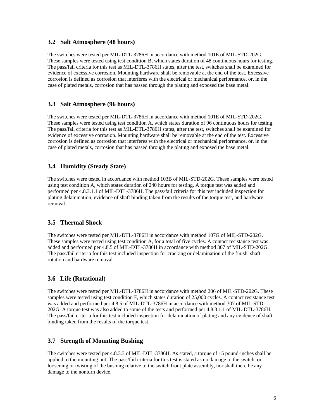#### **3.2 Salt Atmosphere (48 hours)**

The switches were tested per MIL-DTL-3786H in accordance with method 101E of MIL-STD-202G. These samples were tested using test condition B, which states duration of 48 continuous hours for testing. The pass/fail criteria for this test as MIL-DTL-3786H states, after the test, switches shall be examined for evidence of excessive corrosion. Mounting hardware shall be removable at the end of the test. Excessive corrosion is defined as corrosion that interferes with the electrical or mechanical performance, or, in the case of plated metals, corrosion that has passed through the plating and exposed the base metal.

#### **3.3 Salt Atmosphere (96 hours)**

The switches were tested per MIL-DTL-3786H in accordance with method 101E of MIL-STD-202G. These samples were tested using test condition A, which states duration of 96 continuous hours for testing. The pass/fail criteria for this test as MIL-DTL-3786H states, after the test, switches shall be examined for evidence of excessive corrosion. Mounting hardware shall be removable at the end of the test. Excessive corrosion is defined as corrosion that interferes with the electrical or mechanical performance, or, in the case of plated metals, corrosion that has passed through the plating and exposed the base metal.

#### **3.4 Humidity (Steady State)**

The switches were tested in accordance with method 103B of MIL-STD-202G. These samples were tested using test condition A, which states duration of 240 hours for testing. A torque test was added and performed per 4.8.3.1.1 of MIL-DTL-3786H. The pass/fail criteria for this test included inspection for plating delamination, evidence of shaft binding taken from the results of the torque test, and hardware removal.

#### **3.5 Thermal Shock**

The switches were tested per MIL-DTL-3786H in accordance with method 107G of MIL-STD-202G. These samples were tested using test condition A, for a total of five cycles. A contact resistance test was added and performed per 4.8.5 of MIL-DTL-3786H in accordance with method 307 of MIL-STD-202G. The pass/fail criteria for this test included inspection for cracking or delamination of the finish, shaft rotation and hardware removal.

#### **3.6 Life (Rotational)**

The switches were tested per MIL-DTL-3786H in accordance with method 206 of MIL-STD-202G. These samples were tested using test condition F, which states duration of 25,000 cycles. A contact resistance test was added and performed per 4.8.5 of MIL-DTL-3786H in accordance with method 307 of MIL-STD-202G. A torque test was also added to some of the tests and performed per 4.8.3.1.1 of MIL-DTL-3786H. The pass/fail criteria for this test included inspection for delamination of plating and any evidence of shaft binding taken from the results of the torque test.

#### **3.7 Strength of Mounting Bushing**

The switches were tested per 4.8.3.3 of MIL-DTL-3786H. As stated, a torque of 15 pound-inches shall be applied to the mounting nut. The pass/fail criteria for this test is stated as no damage to the switch, or loosening or twisting of the bushing relative to the switch front plate assembly, nor shall there be any damage to the nonturn device.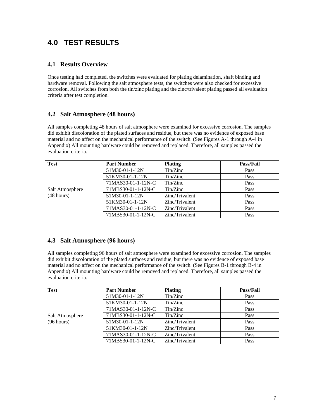### **4.0 TEST RESULTS**

#### **4.1 Results Overview**

Once testing had completed, the switches were evaluated for plating delamination, shaft binding and hardware removal. Following the salt atmosphere tests, the switches were also checked for excessive corrosion. All switches from both the tin/zinc plating and the zinc/trivalent plating passed all evaluation criteria after test completion.

#### **4.2 Salt Atmosphere (48 hours)**

All samples completing 48 hours of salt atmosphere were examined for excessive corrosion. The samples did exhibit discoloration of the plated surfaces and residue, but there was no evidence of exposed base material and no affect on the mechanical performance of the switch. (See Figures A-1 through A-4 in Appendix) All mounting hardware could be removed and replaced. Therefore, all samples passed the evaluation criteria.

| <b>Test</b>          | <b>Part Number</b> | <b>Plating</b> | <b>Pass/Fail</b> |
|----------------------|--------------------|----------------|------------------|
|                      | 51M30-01-1-12N     | Tin/Zinc       | Pass             |
|                      | 51KM30-01-1-12N    | Tin/Zinc       | Pass             |
|                      | 71MAS30-01-1-12N-C | Tin/Zinc       | Pass             |
| Salt Atmosphere      | 71MBS30-01-1-12N-C | Tin/Zinc       | Pass             |
| $(48 \text{ hours})$ | 51M30-01-1-12N     | Zinc/Trivalent | Pass             |
|                      | 51KM30-01-1-12N    | Zinc/Trivalent | Pass             |
|                      | 71MAS30-01-1-12N-C | Zinc/Trivalent | Pass             |
|                      | 71MBS30-01-1-12N-C | Zinc/Trivalent | Pass             |

#### **4.3 Salt Atmosphere (96 hours)**

All samples completing 96 hours of salt atmosphere were examined for excessive corrosion. The samples did exhibit discoloration of the plated surfaces and residue, but there was no evidence of exposed base material and no affect on the mechanical performance of the switch. (See Figures B-1 through B-4 in Appendix) All mounting hardware could be removed and replaced. Therefore, all samples passed the evaluation criteria.

| <b>Test</b>     | <b>Part Number</b> | <b>Plating</b> | <b>Pass/Fail</b> |
|-----------------|--------------------|----------------|------------------|
|                 | 51M30-01-1-12N     | Tin/Zinc       | Pass             |
|                 | 51KM30-01-1-12N    | Tin/Zinc       | Pass             |
|                 | 71MAS30-01-1-12N-C | Tin/Zinc       | Pass             |
| Salt Atmosphere | 71MBS30-01-1-12N-C | Tin/Zinc       | Pass             |
| (96 hours)      | 51M30-01-1-12N     | Zinc/Trivalent | Pass             |
|                 | 51KM30-01-1-12N    | Zinc/Trivalent | Pass             |
|                 | 71MAS30-01-1-12N-C | Zinc/Trivalent | Pass             |
|                 | 71MBS30-01-1-12N-C | Zinc/Trivalent | Pass             |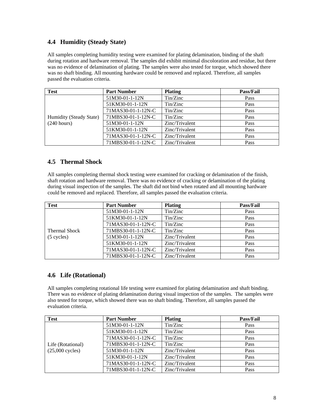#### **4.4 Humidity (Steady State)**

All samples completing humidity testing were examined for plating delamination, binding of the shaft during rotation and hardware removal. The samples did exhibit minimal discoloration and residue, but there was no evidence of delamination of plating. The samples were also tested for torque, which showed there was no shaft binding. All mounting hardware could be removed and replaced. Therefore, all samples passed the evaluation criteria.

| <b>Test</b>             | <b>Part Number</b> | <b>Plating</b> | <b>Pass/Fail</b> |
|-------------------------|--------------------|----------------|------------------|
|                         | 51M30-01-1-12N     | Tin/Zinc       | Pass             |
|                         | 51KM30-01-1-12N    | Tin/Zinc       | Pass             |
|                         | 71MAS30-01-1-12N-C | Tin/Zinc       | Pass             |
| Humidity (Steady State) | 71MBS30-01-1-12N-C | Tin/Zinc       | Pass             |
| $(240 \text{ hours})$   | 51M30-01-1-12N     | Zinc/Trivalent | Pass             |
|                         | 51KM30-01-1-12N    | Zinc/Trivalent | Pass             |
|                         | 71MAS30-01-1-12N-C | Zinc/Trivalent | Pass             |
|                         | 71MBS30-01-1-12N-C | Zinc/Trivalent | Pass             |

#### **4.5 Thermal Shock**

All samples completing thermal shock testing were examined for cracking or delamination of the finish, shaft rotation and hardware removal. There was no evidence of cracking or delamination of the plating during visual inspection of the samples. The shaft did not bind when rotated and all mounting hardware could be removed and replaced. Therefore, all samples passed the evaluation criteria.

| <b>Test</b>          | <b>Part Number</b> | <b>Plating</b> | <b>Pass/Fail</b> |
|----------------------|--------------------|----------------|------------------|
|                      | 51M30-01-1-12N     | Tin/Zinc       | Pass             |
|                      | 51KM30-01-1-12N    | Tin/Zinc       | Pass             |
|                      | 71MAS30-01-1-12N-C | Tin/Zinc       | Pass             |
| <b>Thermal Shock</b> | 71MBS30-01-1-12N-C | Tin/Zinc       | Pass             |
| (5 cycles)           | 51M30-01-1-12N     | Zinc/Trivalent | Pass             |
|                      | 51KM30-01-1-12N    | Zinc/Trivalent | Pass             |
|                      | 71MAS30-01-1-12N-C | Zinc/Trivalent | Pass             |
|                      | 71MBS30-01-1-12N-C | Zinc/Trivalent | Pass             |

#### **4.6 Life (Rotational)**

All samples completing rotational life testing were examined for plating delamination and shaft binding. There was no evidence of plating delamination during visual inspection of the samples. The samples were also tested for torque, which showed there was no shaft binding. Therefore, all samples passed the evaluation criteria.

| <b>Test</b>       | <b>Part Number</b> | <b>Plating</b> | <b>Pass/Fail</b> |
|-------------------|--------------------|----------------|------------------|
|                   | 51M30-01-1-12N     | Tin/Zinc       | Pass             |
|                   | 51KM30-01-1-12N    | Tin/Zinc       | Pass             |
|                   | 71MAS30-01-1-12N-C | Tin/Zinc       | Pass             |
| Life (Rotational) | 71MBS30-01-1-12N-C | Tin/Zinc       | Pass             |
| $(25,000$ cycles) | 51M30-01-1-12N     | Zinc/Trivalent | Pass             |
|                   | 51KM30-01-1-12N    | Zinc/Trivalent | Pass             |
|                   | 71MAS30-01-1-12N-C | Zinc/Trivalent | Pass             |
|                   | 71MBS30-01-1-12N-C | Zinc/Trivalent | Pass             |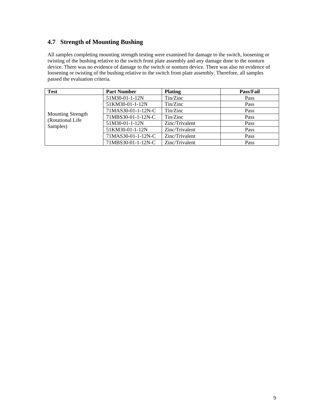#### **4.7 Strength of Mounting Bushing**

All samples completing mounting strength testing were examined for damage to the switch, loosening or twisting of the bushing relative to the switch front plate assembly and any damage done to the nonturn device. There was no evidence of damage to the switch or nonturn device. There was also no evidence of loosening or twisting of the bushing relative to the switch front plate assembly. Therefore, all samples passed the evaluation criteria.

| <b>Test</b>                                  | <b>Part Number</b> | <b>Plating</b> | <b>Pass/Fail</b> |
|----------------------------------------------|--------------------|----------------|------------------|
|                                              | 51M30-01-1-12N     | Tin/Zinc       | Pass             |
|                                              | 51KM30-01-1-12N    | Tin/Zinc       | Pass             |
|                                              | 71MAS30-01-1-12N-C | Tin/Zinc       | Pass             |
| <b>Mounting Strength</b><br>(Rotational Life | 71MBS30-01-1-12N-C | Tin/Zinc       | Pass             |
| Samples)                                     | 51M30-01-1-12N     | Zinc/Trivalent | Pass             |
|                                              | 51KM30-01-1-12N    | Zinc/Trivalent | Pass             |
|                                              | 71MAS30-01-1-12N-C | Zinc/Trivalent | Pass             |
|                                              | 71MBS30-01-1-12N-C | Zinc/Trivalent | Pass             |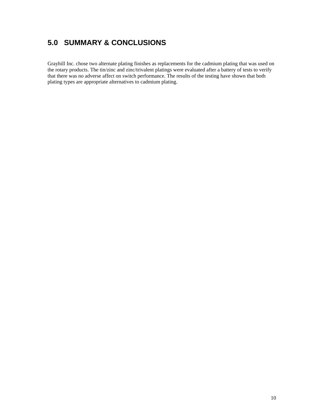## **5.0 SUMMARY & CONCLUSIONS**

Grayhill Inc. chose two alternate plating finishes as replacements for the cadmium plating that was used on the rotary products. The tin/zinc and zinc/trivalent platings were evaluated after a battery of tests to verify that there was no adverse affect on switch performance. The results of the testing have shown that both plating types are appropriate alternatives to cadmium plating.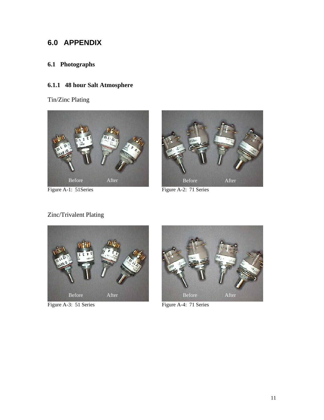### **6.0 APPENDIX**

### **6.1 Photographs**

#### **6.1.1 48 hour Salt Atmosphere**

Tin/Zinc Plating



Figure A-1: 51Series Figure A-2: 71 Series

Zinc/Trivalent Plating





Figure A-3: 51 Series Figure A-4: 71 Series